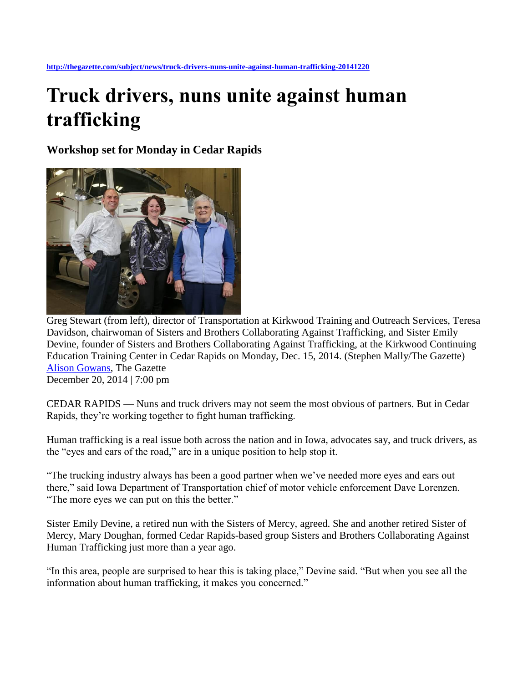## **Truck drivers, nuns unite against human trafficking**

**Workshop set for Monday in Cedar Rapids**



Greg Stewart (from left), director of Transportation at Kirkwood Training and Outreach Services, Teresa Davidson, chairwoman of Sisters and Brothers Collaborating Against Trafficking, and Sister Emily Devine, founder of Sisters and Brothers Collaborating Against Trafficking, at the Kirkwood Continuing Education Training Center in Cedar Rapids on Monday, Dec. 15, 2014. (Stephen Mally/The Gazette) [Alison Gowans,](mailto:alison.gowans@sourcemedia.net) The Gazette

December 20, 2014 | 7:00 pm

CEDAR RAPIDS — Nuns and truck drivers may not seem the most obvious of partners. But in Cedar Rapids, they're working together to fight human trafficking.

Human trafficking is a real issue both across the nation and in Iowa, advocates say, and truck drivers, as the "eyes and ears of the road," are in a unique position to help stop it.

"The trucking industry always has been a good partner when we've needed more eyes and ears out there," said Iowa Department of Transportation chief of motor vehicle enforcement Dave Lorenzen. "The more eyes we can put on this the better."

Sister Emily Devine, a retired nun with the Sisters of Mercy, agreed. She and another retired Sister of Mercy, Mary Doughan, formed Cedar Rapids-based group Sisters and Brothers Collaborating Against Human Trafficking just more than a year ago.

"In this area, people are surprised to hear this is taking place," Devine said. "But when you see all the information about human trafficking, it makes you concerned."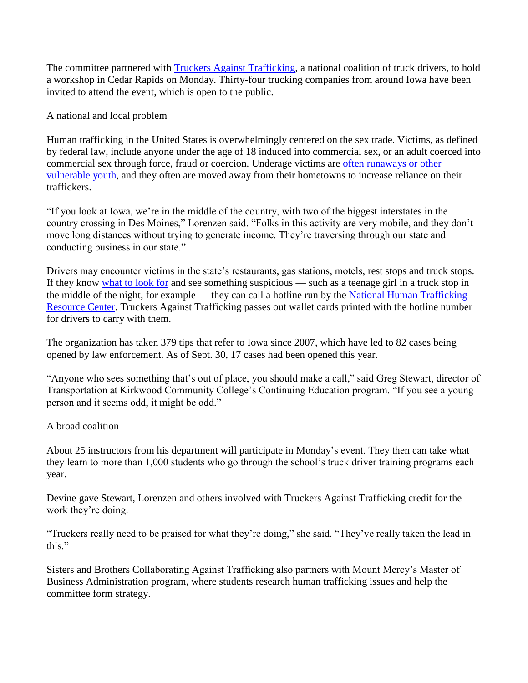The committee partnered with [Truckers Against Trafficking,](http://www.truckersagainsttrafficking.org/) a national coalition of truck drivers, to hold a workshop in Cedar Rapids on Monday. Thirty-four trucking companies from around Iowa have been invited to attend the event, which is open to the public.

A national and local problem

Human trafficking in the United States is overwhelmingly centered on the sex trade. Victims, as defined by federal law, include anyone under the age of 18 induced into commercial sex, or an adult coerced into commercial sex through force, fraud or coercion. Underage victims are [often runaways or other](http://thegazette.com/2012/09/25/trafficking-victim-hails-awareness/)  [vulnerable youth,](http://thegazette.com/2012/09/25/trafficking-victim-hails-awareness/) and they often are moved away from their hometowns to increase reliance on their traffickers.

"If you look at Iowa, we're in the middle of the country, with two of the biggest interstates in the country crossing in Des Moines," Lorenzen said. "Folks in this activity are very mobile, and they don't move long distances without trying to generate income. They're traversing through our state and conducting business in our state."

Drivers may encounter victims in the state's restaurants, gas stations, motels, rest stops and truck stops. If they know [what to look for](http://www.traffickingresourcecenter.org/what-human-trafficking/recognizing-signs) and see something suspicious — such as a teenage girl in a truck stop in the middle of the night, for example — they can call a hotline run by the [National Human Trafficking](http://www.traffickingresourcecenter.org/)  [Resource Center.](http://www.traffickingresourcecenter.org/) Truckers Against Trafficking passes out wallet cards printed with the hotline number for drivers to carry with them.

The organization has taken 379 tips that refer to Iowa since 2007, which have led to 82 cases being opened by law enforcement. As of Sept. 30, 17 cases had been opened this year.

"Anyone who sees something that's out of place, you should make a call," said Greg Stewart, director of Transportation at Kirkwood Community College's Continuing Education program. "If you see a young person and it seems odd, it might be odd."

## A broad coalition

About 25 instructors from his department will participate in Monday's event. They then can take what they learn to more than 1,000 students who go through the school's truck driver training programs each year.

Devine gave Stewart, Lorenzen and others involved with Truckers Against Trafficking credit for the work they're doing.

"Truckers really need to be praised for what they're doing," she said. "They've really taken the lead in this."

Sisters and Brothers Collaborating Against Trafficking also partners with Mount Mercy's Master of Business Administration program, where students research human trafficking issues and help the committee form strategy.